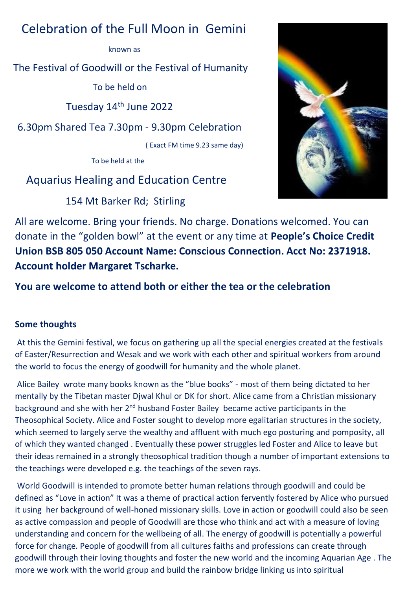## Celebration of the Full Moon in Gemini

known as

The Festival of Goodwill or the Festival of Humanity

To be held on

Tuesday 14th June 2022

6.30pm Shared Tea 7.30pm - 9.30pm Celebration

( Exact FM time 9.23 same day)

To be held at the

## Aquarius Healing and Education Centre

154 Mt Barker Rd; Stirling



All are welcome. Bring your friends. No charge. Donations welcomed. You can donate in the "golden bowl" at the event or any time at **People's Choice Credit Union BSB 805 050 Account Name: Conscious Connection. Acct No: 2371918. Account holder Margaret Tscharke.** 

**You are welcome to attend both or either the tea or the celebration**

## **Some thoughts**

At this the Gemini festival, we focus on gathering up all the special energies created at the festivals of Easter/Resurrection and Wesak and we work with each other and spiritual workers from around the world to focus the energy of goodwill for humanity and the whole planet.

Alice Bailey wrote many books known as the "blue books" - most of them being dictated to her mentally by the Tibetan master Djwal Khul or DK for short. Alice came from a Christian missionary background and she with her 2<sup>nd</sup> husband Foster Bailey became active participants in the Theosophical Society. Alice and Foster sought to develop more egalitarian structures in the society, which seemed to largely serve the wealthy and affluent with much ego posturing and pomposity, all of which they wanted changed . Eventually these power struggles led Foster and Alice to leave but their ideas remained in a strongly theosophical tradition though a number of important extensions to the teachings were developed e.g. the teachings of the seven rays.

World Goodwill is intended to promote better human relations through goodwill and could be defined as "Love in action" It was a theme of practical action fervently fostered by Alice who pursued it using her background of well-honed missionary skills. Love in action or goodwill could also be seen as active compassion and people of Goodwill are those who think and act with a measure of loving understanding and concern for the wellbeing of all. The energy of goodwill is potentially a powerful force for change. People of goodwill from all cultures faiths and professions can create through goodwill through their loving thoughts and foster the new world and the incoming Aquarian Age . The more we work with the world group and build the rainbow bridge linking us into spiritual